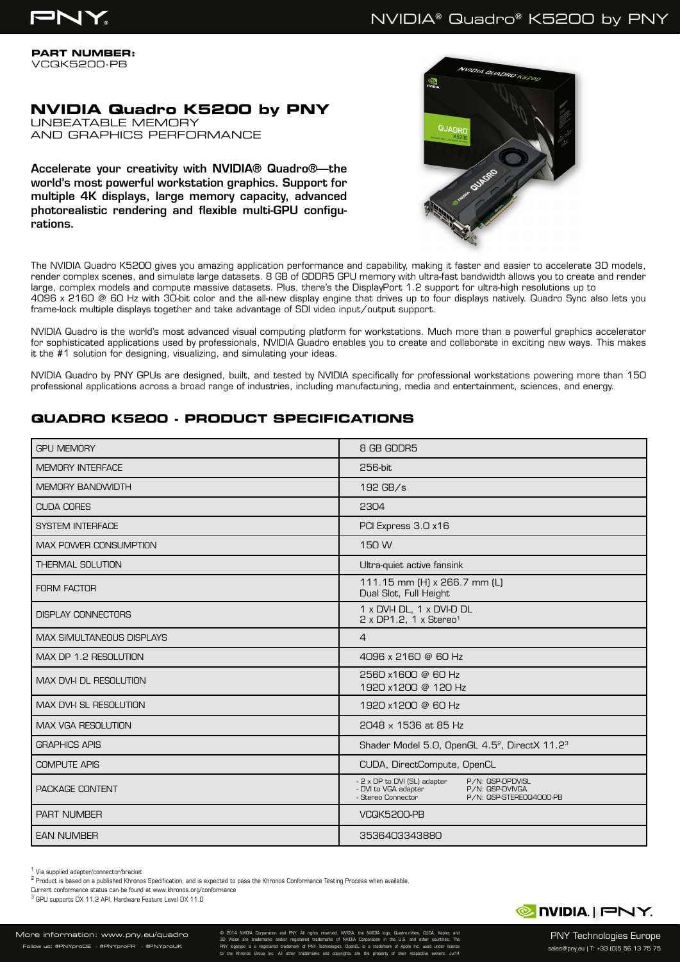**PART NUMBER:** VCQK5200-PB

# **NVIDIA Quadro K5200 by PNY**

UNBEATABLE MEMORY AND GRAPHICS PERFORMANCE

Accelerate your creativity with NVIDIA® Quadro®—the world's most powerful workstation graphics. Support for multiple 4K displays, large memory capacity, advanced photorealistic rendering and flexible multi-GPU configurations.



The NVIDIA Quadro K5200 gives you amazing application performance and capability, making it faster and easier to accelerate 3D models, render complex scenes, and simulate large datasets. 8 GB of GDDR5 GPU memory with ultra-fast bandwidth allows you to create and render large, complex models and compute massive datasets. Plus, there's the DisplayPort 1.2 support for ultra-high resolutions up to 4096 x 2160 @ 60 Hz with 30-bit color and the all-new display engine that drives up to four displays natively. Quadro Sync also lets you frame-lock multiple displays together and take advantage of SDI video input/output support.

NVIDIA Quadro is the world's most advanced visual computing platform for workstations. Much more than a powerful graphics accelerator for sophisticated applications used by professionals, NVIDIA Quadro enables you to create and collaborate in exciting new ways. This makes it the #1 solution for designing, visualizing, and simulating your ideas.

NVIDIA Quadro by PNY GPUs are designed, built, and tested by NVIDIA specifically for professional workstations powering more than 150 professional applications across a broad range of industries, including manufacturing, media and entertainment, sciences, and energy.

# **QUADRO K5200 - PRODUCT SPECIFICATIONS**

| <b>GPI I MEMORY</b>              | 8 GB GDDR5                                                                                                                                   |
|----------------------------------|----------------------------------------------------------------------------------------------------------------------------------------------|
| <b>MEMORY INTERFACE</b>          | 256-bit                                                                                                                                      |
| <b>MEMORY BANDWIDTH</b>          | 192 GB/s                                                                                                                                     |
| <b>CUDA CORES</b>                | 2304                                                                                                                                         |
| <b>SYSTEM INTERFACE</b>          | PCI Express 3.0 x16                                                                                                                          |
| <b>MAX POWER CONSUMPTION</b>     | 150 W                                                                                                                                        |
| <b>THERMAL SOLUTION</b>          | Ultra-quiet active fansink                                                                                                                   |
| <b>FORM FACTOR</b>               | 111.15 mm (H) x 266.7 mm (L)<br>Dual Slot, Full Height                                                                                       |
| <b>DISPLAY CONNECTORS</b>        | 1 x DVI-I DL, 1 x DVI-D DL<br>$2 \times DP1.2$ , 1 x Stereo <sup>1</sup>                                                                     |
| <b>MAX SIMULTANEOUS DISPLAYS</b> | $\overline{4}$                                                                                                                               |
| MAX DP 1.2 RESOLUTION            | 4096 x 2160 @ 60 Hz                                                                                                                          |
| MAX DVI-I DL RESOLUTION          | 2560 x1600 @ 60 Hz<br>1920 x1200 @ 120 Hz                                                                                                    |
| <b>MAX DVI-I SL RESOLUTION</b>   | 1920 x1200 @ 60 Hz                                                                                                                           |
| <b>MAX VGA RESOLUTION</b>        | 2048 x 1536 at 85 Hz                                                                                                                         |
| <b>GRAPHICS APIS</b>             | Shader Model 5.0, OpenGL 4.5 <sup>2</sup> , DirectX 11.2 <sup>3</sup>                                                                        |
| <b>COMPUTE APIS</b>              | CUDA, DirectCompute, OpenCL                                                                                                                  |
| PACKAGE CONTENT                  | - 2 x DP to DVI (SL) adapter<br>P/N: QSP-DPDVISL<br>- DVI to VGA adapter<br>P/N: QSP-DVIVGA<br>- Stereo Connector<br>P/N: QSP-STERE0Q4000-PB |
| <b>PART NUMBER</b>               | VCQK5200-PB                                                                                                                                  |
| <b>EAN NUMBER</b>                | 3536403343880                                                                                                                                |

1 Via supplied adapter/connector/bracket

<sup>2</sup> Product is based on a published Khronos Specification, and is expected to pass the Khronos Conformance Testing Process when available.

Current conformance status can be found at www.khronos.org/conformance

<sup>3</sup> GPU supports DX 11.2 API, Hardware Feature Level DX 11.0

© 2014 NVIDIA Corporation and PNY. All rights reserved. NVIDIA, the NVIDIA logo, Quadro,nView, CUDA, Kepler, and 3D Vision are trademarks and/or registered trademarks of NVIDIA Corporation in the U.S. and other countries. The PNY logotype is a registered trademark of PNY Technologies. OpenCL is a trademark of Apple Inc. used under license to the Khronos Group Inc. All other trademarks and copyrights are the property of their respective owners. Jul14



PNY Technologies Europe sales@pny.eu | T: +33 (0)5 56 13 75 75